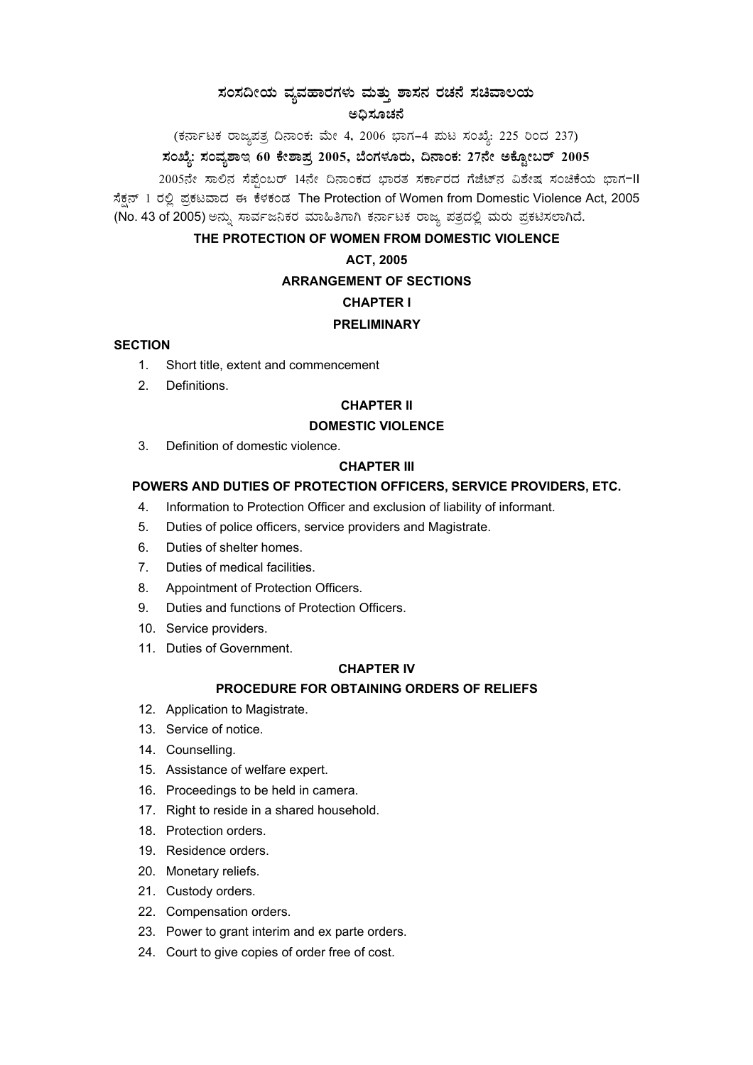# $\pi$ ಹಂಸದೀಯ ವ್ಯವಹಾರಗಳು ಮತ್ತು ಶಾಸನ ರಚನೆ ಸಚಿವಾಲಯ ಅದಿಸೂಚನೆ

(ಕರ್ನಾಟಕ ರಾಜ್ಯಪತ್ರ ದಿನಾಂಕ: ಮೇ 4, 2006 ಭಾಗ–4 ಮಟ ಸಂಖ್ಯೆ: 225 ರಿಂದ 237) ಸಂಖ್ಯೆ: ಸಂವ್ಯಶಾಇ 60 ಕೇಶಾಪ್ರ 2005, ಬೆಂಗಳೂರು, ದಿನಾಂಕ: 27ನೇ ಅಕ್ಟೋಬರ್ 2005

2005ನೇ ಸಾಲಿನ ಸೆಪ್ಪೆಂಬರ್ 14ನೇ ದಿನಾಂಕದ ಭಾರತ ಸರ್ಕಾರದ ಗೆಜೆಟ್ನ ವಿಶೇಷ ಸಂಚಿಕೆಯ ಭಾಗ-II ಸೆಕ್ಷನ್ 1 ರಲ್ಲಿ ಪ್ರಕಟವಾದ ಈ ಕೆಳಕಂಡ The Protection of Women from Domestic Violence Act, 2005 (No. 43 of 2005) ಅನ್ನು ಸಾರ್ವಜನಿಕರ ಮಾಹಿತಿಗಾಗಿ ಕರ್ನಾಟಕ ರಾಜ್ಯ ಪತ್ರದಲ್ಲಿ ಮರು ಪ್ರಕಟಿಸಲಾಗಿದೆ.

## **THE PROTECTION OF WOMEN FROM DOMESTIC VIOLENCE**

## **ACT, 2005**

#### **ARRANGEMENT OF SECTIONS**

# **CHAPTER I**

#### **PRELIMINARY**

#### **SECTION**

- 1. Short title, extent and commencement
- 2. Definitions.

## **CHAPTER II**

#### **DOMESTIC VIOLENCE**

3. Definition of domestic violence.

#### **CHAPTER III**

# **POWERS AND DUTIES OF PROTECTION OFFICERS, SERVICE PROVIDERS, ETC.**

- 4. Information to Protection Officer and exclusion of liability of informant.
- 5. Duties of police officers, service providers and Magistrate.
- 6. Duties of shelter homes.
- 7. Duties of medical facilities.
- 8. Appointment of Protection Officers.
- 9. Duties and functions of Protection Officers.
- 10. Service providers.
- 11. Duties of Government.

#### **CHAPTER IV**

## **PROCEDURE FOR OBTAINING ORDERS OF RELIEFS**

- 12. Application to Magistrate.
- 13. Service of notice.
- 14. Counselling.
- 15. Assistance of welfare expert.
- 16. Proceedings to be held in camera.
- 17. Right to reside in a shared household.
- 18. Protection orders.
- 19. Residence orders.
- 20. Monetary reliefs.
- 21. Custody orders.
- 22. Compensation orders.
- 23. Power to grant interim and ex parte orders.
- 24. Court to give copies of order free of cost.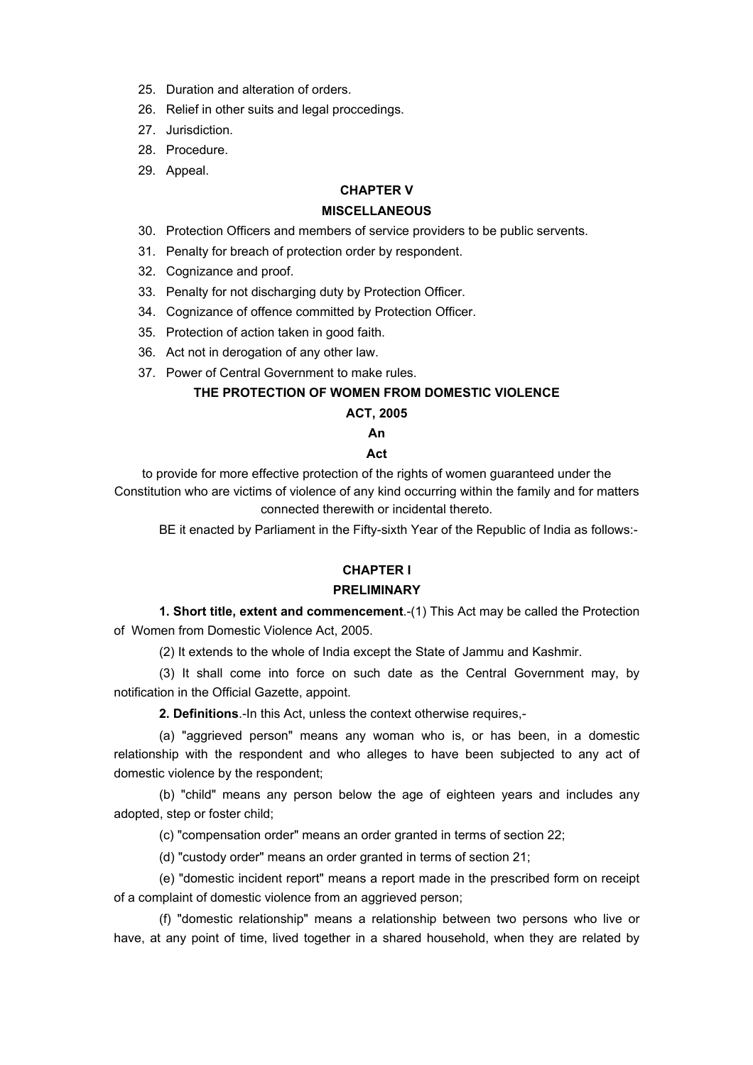- 25. Duration and alteration of orders.
- 26. Relief in other suits and legal proccedings.
- 27. Jurisdiction.
- 28. Procedure.
- 29. Appeal.

# **CHAPTER V**

#### **MISCELLANEOUS**

- 30. Protection Officers and members of service providers to be public servents.
- 31. Penalty for breach of protection order by respondent.
- 32. Cognizance and proof.
- 33. Penalty for not discharging duty by Protection Officer.
- 34. Cognizance of offence committed by Protection Officer.
- 35. Protection of action taken in good faith.
- 36. Act not in derogation of any other law.
- 37. Power of Central Government to make rules.

# **THE PROTECTION OF WOMEN FROM DOMESTIC VIOLENCE**

## **ACT, 2005**

#### **An**

#### **Act**

to provide for more effective protection of the rights of women guaranteed under the Constitution who are victims of violence of any kind occurring within the family and for matters connected therewith or incidental thereto.

BE it enacted by Parliament in the Fifty-sixth Year of the Republic of India as follows:-

# **CHAPTER I**

#### **PRELIMINARY**

**1. Short title, extent and commencement**.-(1) This Act may be called the Protection of Women from Domestic Violence Act, 2005.

(2) It extends to the whole of India except the State of Jammu and Kashmir.

(3) It shall come into force on such date as the Central Government may, by notification in the Official Gazette, appoint.

**2. Definitions**.-In this Act, unless the context otherwise requires,-

(a) "aggrieved person" means any woman who is, or has been, in a domestic relationship with the respondent and who alleges to have been subjected to any act of domestic violence by the respondent;

(b) "child" means any person below the age of eighteen years and includes any adopted, step or foster child;

(c) "compensation order" means an order granted in terms of section 22;

(d) "custody order" means an order granted in terms of section 21;

(e) "domestic incident report" means a report made in the prescribed form on receipt of a complaint of domestic violence from an aggrieved person;

(f) "domestic relationship" means a relationship between two persons who live or have, at any point of time, lived together in a shared household, when they are related by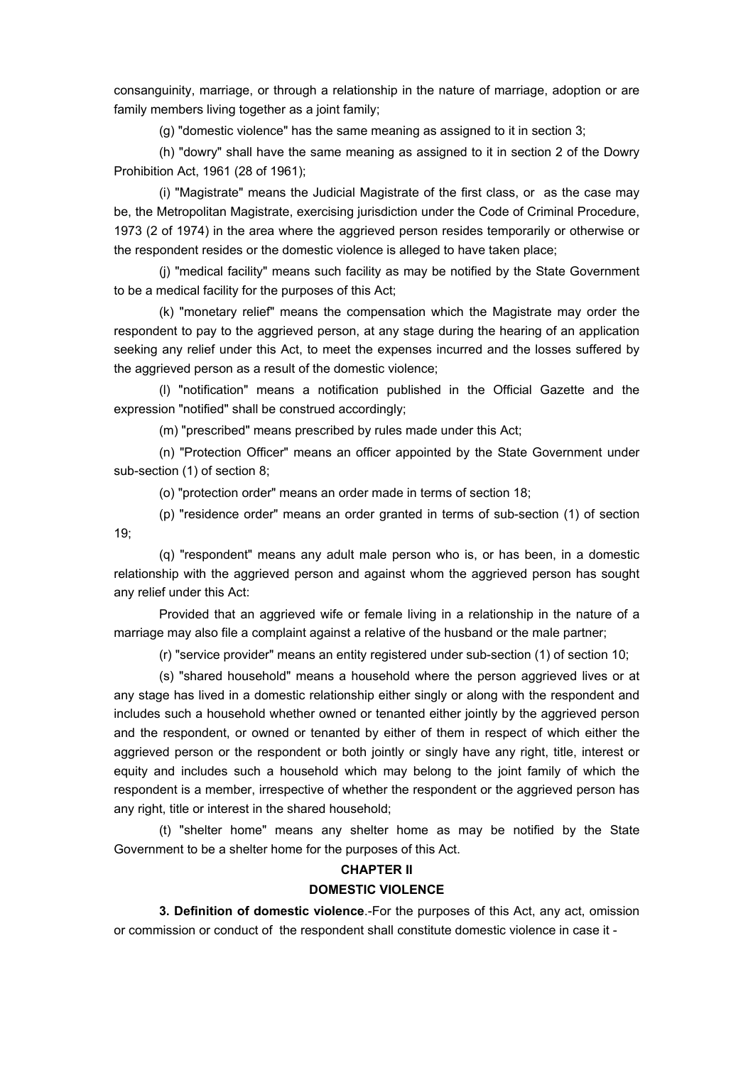consanguinity, marriage, or through a relationship in the nature of marriage, adoption or are family members living together as a joint family;

(g) "domestic violence" has the same meaning as assigned to it in section 3;

(h) "dowry" shall have the same meaning as assigned to it in section 2 of the Dowry Prohibition Act, 1961 (28 of 1961);

(i) "Magistrate" means the Judicial Magistrate of the first class, or as the case may be, the Metropolitan Magistrate, exercising jurisdiction under the Code of Criminal Procedure, 1973 (2 of 1974) in the area where the aggrieved person resides temporarily or otherwise or the respondent resides or the domestic violence is alleged to have taken place;

(j) "medical facility" means such facility as may be notified by the State Government to be a medical facility for the purposes of this Act;

(k) "monetary relief" means the compensation which the Magistrate may order the respondent to pay to the aggrieved person, at any stage during the hearing of an application seeking any relief under this Act, to meet the expenses incurred and the losses suffered by the aggrieved person as a result of the domestic violence;

(l) "notification" means a notification published in the Official Gazette and the expression "notified" shall be construed accordingly;

(m) "prescribed" means prescribed by rules made under this Act;

(n) "Protection Officer" means an officer appointed by the State Government under sub-section (1) of section 8;

(o) "protection order" means an order made in terms of section 18;

(p) "residence order" means an order granted in terms of sub-section (1) of section 19;

(q) "respondent" means any adult male person who is, or has been, in a domestic relationship with the aggrieved person and against whom the aggrieved person has sought any relief under this Act:

Provided that an aggrieved wife or female living in a relationship in the nature of a marriage may also file a complaint against a relative of the husband or the male partner;

(r) "service provider" means an entity registered under sub-section (1) of section 10;

(s) "shared household" means a household where the person aggrieved lives or at any stage has lived in a domestic relationship either singly or along with the respondent and includes such a household whether owned or tenanted either jointly by the aggrieved person and the respondent, or owned or tenanted by either of them in respect of which either the aggrieved person or the respondent or both jointly or singly have any right, title, interest or equity and includes such a household which may belong to the joint family of which the respondent is a member, irrespective of whether the respondent or the aggrieved person has any right, title or interest in the shared household;

(t) "shelter home" means any shelter home as may be notified by the State Government to be a shelter home for the purposes of this Act.

# **CHAPTER II DOMESTIC VIOLENCE**

**3. Definition of domestic violence**.-For the purposes of this Act, any act, omission or commission or conduct of the respondent shall constitute domestic violence in case it -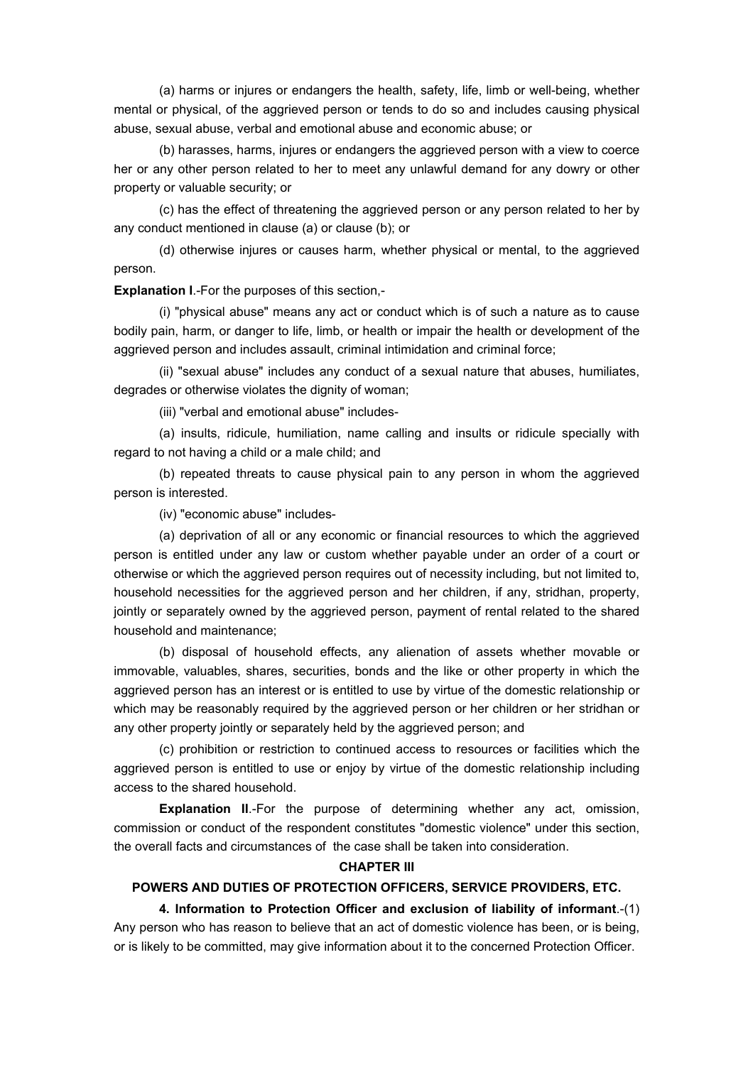(a) harms or injures or endangers the health, safety, life, limb or well-being, whether mental or physical, of the aggrieved person or tends to do so and includes causing physical abuse, sexual abuse, verbal and emotional abuse and economic abuse; or

(b) harasses, harms, injures or endangers the aggrieved person with a view to coerce her or any other person related to her to meet any unlawful demand for any dowry or other property or valuable security; or

(c) has the effect of threatening the aggrieved person or any person related to her by any conduct mentioned in clause (a) or clause (b); or

(d) otherwise injures or causes harm, whether physical or mental, to the aggrieved person.

**Explanation I**.-For the purposes of this section,-

(i) "physical abuse" means any act or conduct which is of such a nature as to cause bodily pain, harm, or danger to life, limb, or health or impair the health or development of the aggrieved person and includes assault, criminal intimidation and criminal force;

(ii) "sexual abuse" includes any conduct of a sexual nature that abuses, humiliates, degrades or otherwise violates the dignity of woman;

(iii) "verbal and emotional abuse" includes-

(a) insults, ridicule, humiliation, name calling and insults or ridicule specially with regard to not having a child or a male child; and

(b) repeated threats to cause physical pain to any person in whom the aggrieved person is interested.

(iv) "economic abuse" includes-

(a) deprivation of all or any economic or financial resources to which the aggrieved person is entitled under any law or custom whether payable under an order of a court or otherwise or which the aggrieved person requires out of necessity including, but not limited to, household necessities for the aggrieved person and her children, if any, stridhan, property, jointly or separately owned by the aggrieved person, payment of rental related to the shared household and maintenance;

(b) disposal of household effects, any alienation of assets whether movable or immovable, valuables, shares, securities, bonds and the like or other property in which the aggrieved person has an interest or is entitled to use by virtue of the domestic relationship or which may be reasonably required by the aggrieved person or her children or her stridhan or any other property jointly or separately held by the aggrieved person; and

(c) prohibition or restriction to continued access to resources or facilities which the aggrieved person is entitled to use or enjoy by virtue of the domestic relationship including access to the shared household.

**Explanation II**.-For the purpose of determining whether any act, omission, commission or conduct of the respondent constitutes "domestic violence" under this section, the overall facts and circumstances of the case shall be taken into consideration.

## **CHAPTER III**

#### **POWERS AND DUTIES OF PROTECTION OFFICERS, SERVICE PROVIDERS, ETC.**

**4. Information to Protection Officer and exclusion of liability of informant**.-(1) Any person who has reason to believe that an act of domestic violence has been, or is being, or is likely to be committed, may give information about it to the concerned Protection Officer.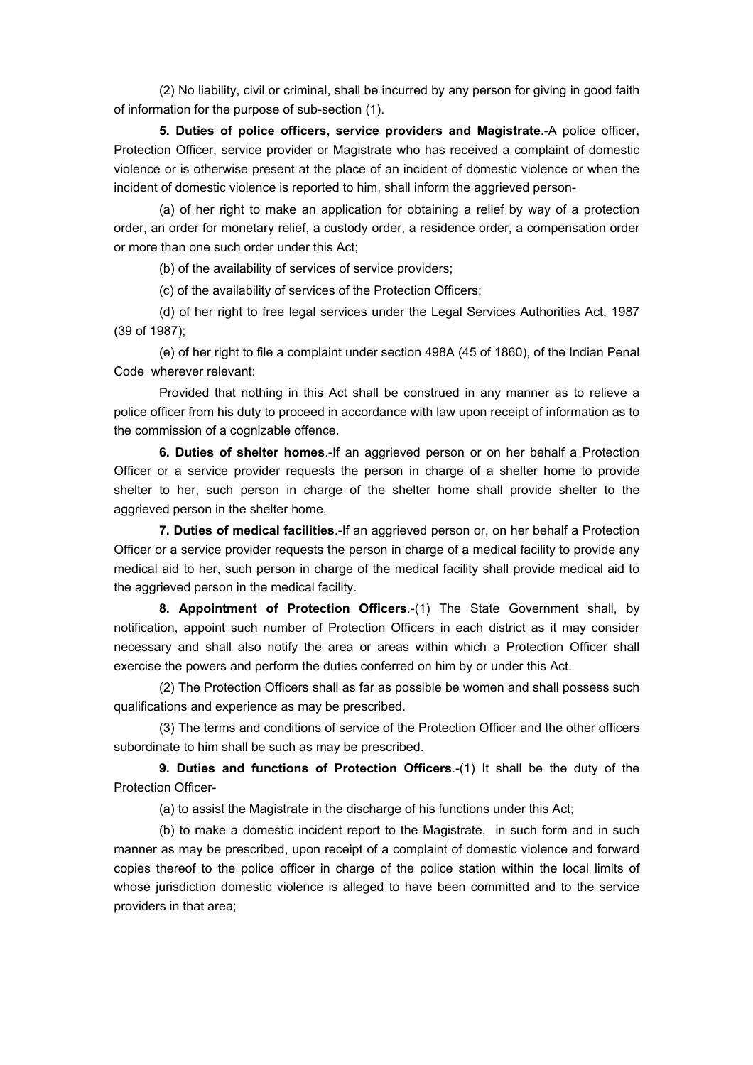(2) No liability, civil or criminal, shall be incurred by any person for giving in good faith of information for the purpose of sub-section (1).

**5. Duties of police officers, service providers and Magistrate**.-A police officer, Protection Officer, service provider or Magistrate who has received a complaint of domestic violence or is otherwise present at the place of an incident of domestic violence or when the incident of domestic violence is reported to him, shall inform the aggrieved person-

(a) of her right to make an application for obtaining a relief by way of a protection order, an order for monetary relief, a custody order, a residence order, a compensation order or more than one such order under this Act;

(b) of the availability of services of service providers;

(c) of the availability of services of the Protection Officers;

(d) of her right to free legal services under the Legal Services Authorities Act, 1987 (39 of 1987);

(e) of her right to file a complaint under section 498A (45 of 1860), of the Indian Penal Code wherever relevant:

Provided that nothing in this Act shall be construed in any manner as to relieve a police officer from his duty to proceed in accordance with law upon receipt of information as to the commission of a cognizable offence.

**6. Duties of shelter homes**.-If an aggrieved person or on her behalf a Protection Officer or a service provider requests the person in charge of a shelter home to provide shelter to her, such person in charge of the shelter home shall provide shelter to the aggrieved person in the shelter home.

**7. Duties of medical facilities**.-If an aggrieved person or, on her behalf a Protection Officer or a service provider requests the person in charge of a medical facility to provide any medical aid to her, such person in charge of the medical facility shall provide medical aid to the aggrieved person in the medical facility.

**8. Appointment of Protection Officers**.-(1) The State Government shall, by notification, appoint such number of Protection Officers in each district as it may consider necessary and shall also notify the area or areas within which a Protection Officer shall exercise the powers and perform the duties conferred on him by or under this Act.

(2) The Protection Officers shall as far as possible be women and shall possess such qualifications and experience as may be prescribed.

(3) The terms and conditions of service of the Protection Officer and the other officers subordinate to him shall be such as may be prescribed.

**9. Duties and functions of Protection Officers**.-(1) It shall be the duty of the Protection Officer-

(a) to assist the Magistrate in the discharge of his functions under this Act;

(b) to make a domestic incident report to the Magistrate, in such form and in such manner as may be prescribed, upon receipt of a complaint of domestic violence and forward copies thereof to the police officer in charge of the police station within the local limits of whose jurisdiction domestic violence is alleged to have been committed and to the service providers in that area;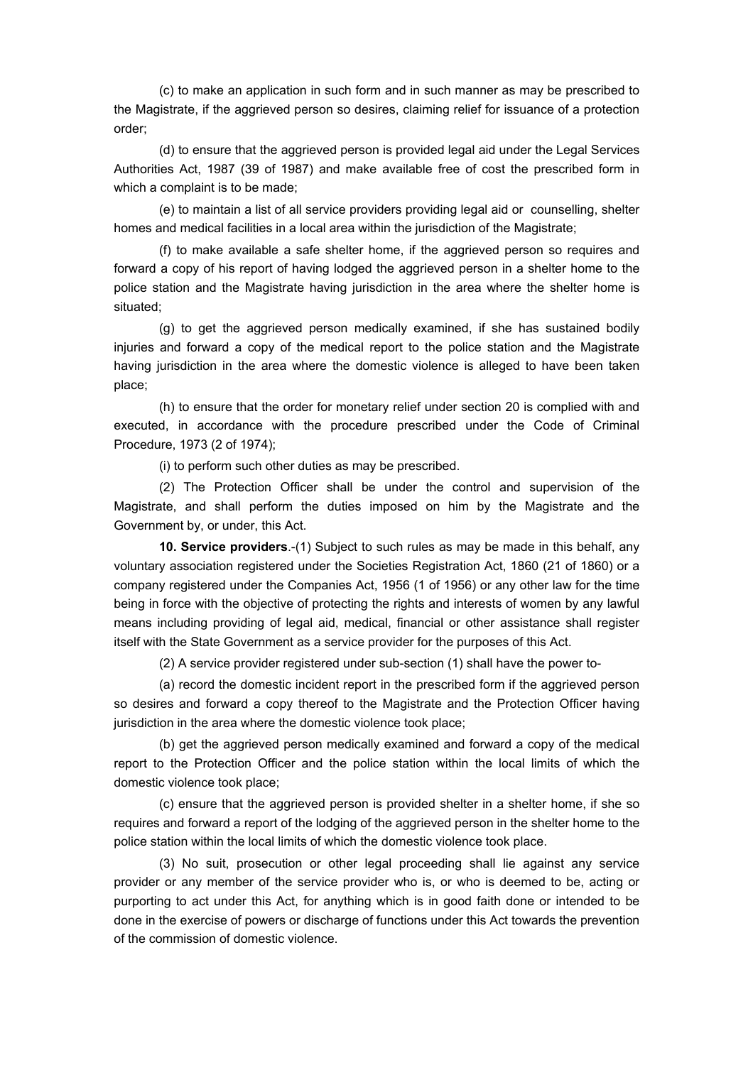(c) to make an application in such form and in such manner as may be prescribed to the Magistrate, if the aggrieved person so desires, claiming relief for issuance of a protection order;

(d) to ensure that the aggrieved person is provided legal aid under the Legal Services Authorities Act, 1987 (39 of 1987) and make available free of cost the prescribed form in which a complaint is to be made;

(e) to maintain a list of all service providers providing legal aid or counselling, shelter homes and medical facilities in a local area within the jurisdiction of the Magistrate;

(f) to make available a safe shelter home, if the aggrieved person so requires and forward a copy of his report of having lodged the aggrieved person in a shelter home to the police station and the Magistrate having jurisdiction in the area where the shelter home is situated;

(g) to get the aggrieved person medically examined, if she has sustained bodily injuries and forward a copy of the medical report to the police station and the Magistrate having jurisdiction in the area where the domestic violence is alleged to have been taken place;

(h) to ensure that the order for monetary relief under section 20 is complied with and executed, in accordance with the procedure prescribed under the Code of Criminal Procedure, 1973 (2 of 1974);

(i) to perform such other duties as may be prescribed.

(2) The Protection Officer shall be under the control and supervision of the Magistrate, and shall perform the duties imposed on him by the Magistrate and the Government by, or under, this Act.

**10. Service providers**.-(1) Subject to such rules as may be made in this behalf, any voluntary association registered under the Societies Registration Act, 1860 (21 of 1860) or a company registered under the Companies Act, 1956 (1 of 1956) or any other law for the time being in force with the objective of protecting the rights and interests of women by any lawful means including providing of legal aid, medical, financial or other assistance shall register itself with the State Government as a service provider for the purposes of this Act.

(2) A service provider registered under sub-section (1) shall have the power to-

(a) record the domestic incident report in the prescribed form if the aggrieved person so desires and forward a copy thereof to the Magistrate and the Protection Officer having jurisdiction in the area where the domestic violence took place;

(b) get the aggrieved person medically examined and forward a copy of the medical report to the Protection Officer and the police station within the local limits of which the domestic violence took place;

(c) ensure that the aggrieved person is provided shelter in a shelter home, if she so requires and forward a report of the lodging of the aggrieved person in the shelter home to the police station within the local limits of which the domestic violence took place.

(3) No suit, prosecution or other legal proceeding shall lie against any service provider or any member of the service provider who is, or who is deemed to be, acting or purporting to act under this Act, for anything which is in good faith done or intended to be done in the exercise of powers or discharge of functions under this Act towards the prevention of the commission of domestic violence.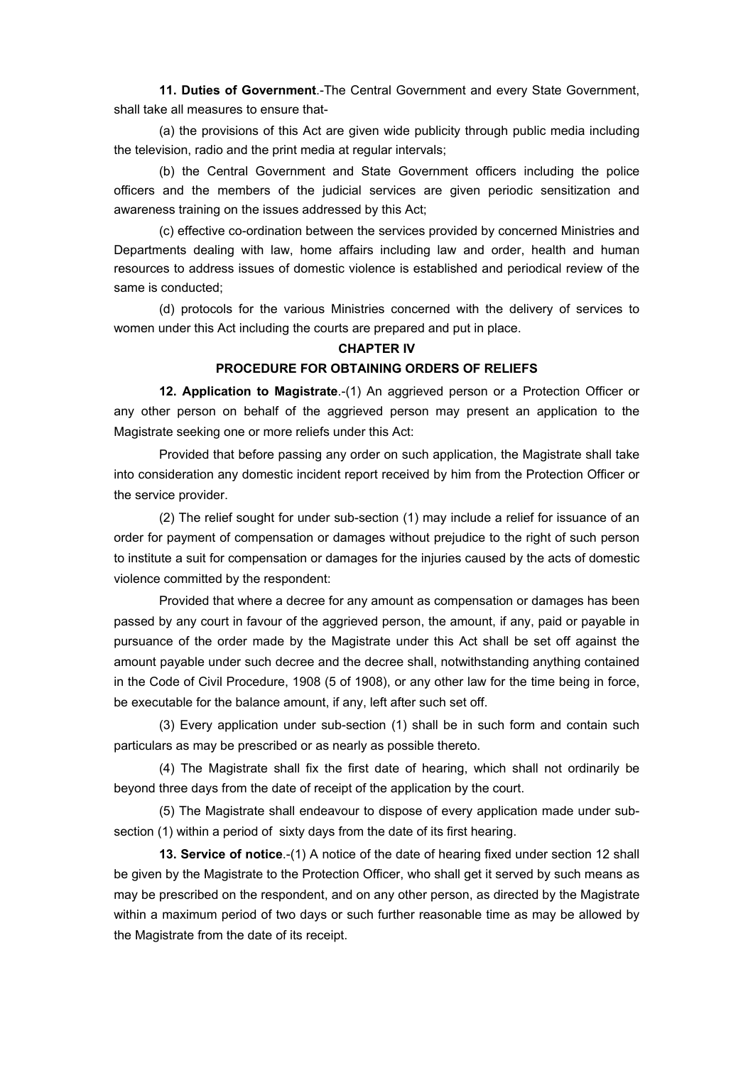**11. Duties of Government**.-The Central Government and every State Government, shall take all measures to ensure that-

(a) the provisions of this Act are given wide publicity through public media including the television, radio and the print media at regular intervals;

(b) the Central Government and State Government officers including the police officers and the members of the judicial services are given periodic sensitization and awareness training on the issues addressed by this Act;

(c) effective co-ordination between the services provided by concerned Ministries and Departments dealing with law, home affairs including law and order, health and human resources to address issues of domestic violence is established and periodical review of the same is conducted;

(d) protocols for the various Ministries concerned with the delivery of services to women under this Act including the courts are prepared and put in place.

#### **CHAPTER IV**

#### **PROCEDURE FOR OBTAINING ORDERS OF RELIEFS**

**12. Application to Magistrate**.-(1) An aggrieved person or a Protection Officer or any other person on behalf of the aggrieved person may present an application to the Magistrate seeking one or more reliefs under this Act:

Provided that before passing any order on such application, the Magistrate shall take into consideration any domestic incident report received by him from the Protection Officer or the service provider.

(2) The relief sought for under sub-section (1) may include a relief for issuance of an order for payment of compensation or damages without prejudice to the right of such person to institute a suit for compensation or damages for the injuries caused by the acts of domestic violence committed by the respondent:

Provided that where a decree for any amount as compensation or damages has been passed by any court in favour of the aggrieved person, the amount, if any, paid or payable in pursuance of the order made by the Magistrate under this Act shall be set off against the amount payable under such decree and the decree shall, notwithstanding anything contained in the Code of Civil Procedure, 1908 (5 of 1908), or any other law for the time being in force, be executable for the balance amount, if any, left after such set off.

(3) Every application under sub-section (1) shall be in such form and contain such particulars as may be prescribed or as nearly as possible thereto.

(4) The Magistrate shall fix the first date of hearing, which shall not ordinarily be beyond three days from the date of receipt of the application by the court.

(5) The Magistrate shall endeavour to dispose of every application made under subsection (1) within a period of sixty days from the date of its first hearing.

**13. Service of notice**.-(1) A notice of the date of hearing fixed under section 12 shall be given by the Magistrate to the Protection Officer, who shall get it served by such means as may be prescribed on the respondent, and on any other person, as directed by the Magistrate within a maximum period of two days or such further reasonable time as may be allowed by the Magistrate from the date of its receipt.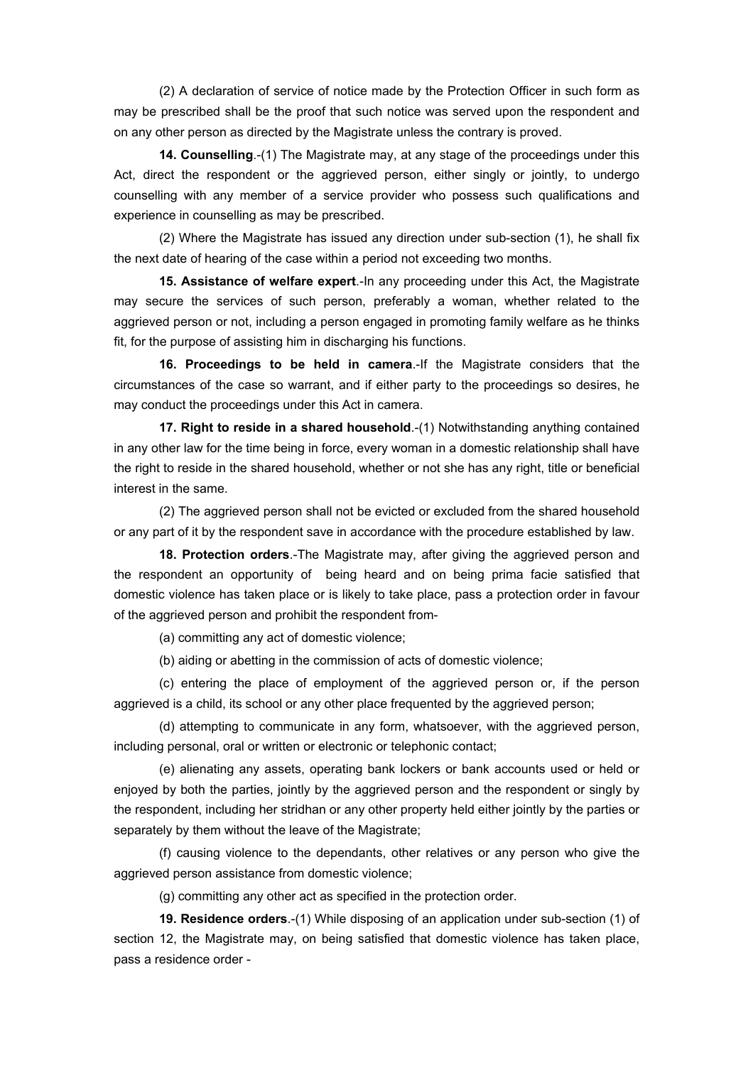(2) A declaration of service of notice made by the Protection Officer in such form as may be prescribed shall be the proof that such notice was served upon the respondent and on any other person as directed by the Magistrate unless the contrary is proved.

**14. Counselling**.-(1) The Magistrate may, at any stage of the proceedings under this Act, direct the respondent or the aggrieved person, either singly or jointly, to undergo counselling with any member of a service provider who possess such qualifications and experience in counselling as may be prescribed.

(2) Where the Magistrate has issued any direction under sub-section (1), he shall fix the next date of hearing of the case within a period not exceeding two months.

**15. Assistance of welfare expert**.-In any proceeding under this Act, the Magistrate may secure the services of such person, preferably a woman, whether related to the aggrieved person or not, including a person engaged in promoting family welfare as he thinks fit, for the purpose of assisting him in discharging his functions.

**16. Proceedings to be held in camera**.-If the Magistrate considers that the circumstances of the case so warrant, and if either party to the proceedings so desires, he may conduct the proceedings under this Act in camera.

**17. Right to reside in a shared household**.-(1) Notwithstanding anything contained in any other law for the time being in force, every woman in a domestic relationship shall have the right to reside in the shared household, whether or not she has any right, title or beneficial interest in the same.

(2) The aggrieved person shall not be evicted or excluded from the shared household or any part of it by the respondent save in accordance with the procedure established by law.

**18. Protection orders**.-The Magistrate may, after giving the aggrieved person and the respondent an opportunity of being heard and on being prima facie satisfied that domestic violence has taken place or is likely to take place, pass a protection order in favour of the aggrieved person and prohibit the respondent from-

(a) committing any act of domestic violence;

(b) aiding or abetting in the commission of acts of domestic violence;

(c) entering the place of employment of the aggrieved person or, if the person aggrieved is a child, its school or any other place frequented by the aggrieved person;

(d) attempting to communicate in any form, whatsoever, with the aggrieved person, including personal, oral or written or electronic or telephonic contact;

(e) alienating any assets, operating bank lockers or bank accounts used or held or enjoyed by both the parties, jointly by the aggrieved person and the respondent or singly by the respondent, including her stridhan or any other property held either jointly by the parties or separately by them without the leave of the Magistrate;

(f) causing violence to the dependants, other relatives or any person who give the aggrieved person assistance from domestic violence;

(g) committing any other act as specified in the protection order.

**19. Residence orders**.-(1) While disposing of an application under sub-section (1) of section 12, the Magistrate may, on being satisfied that domestic violence has taken place, pass a residence order -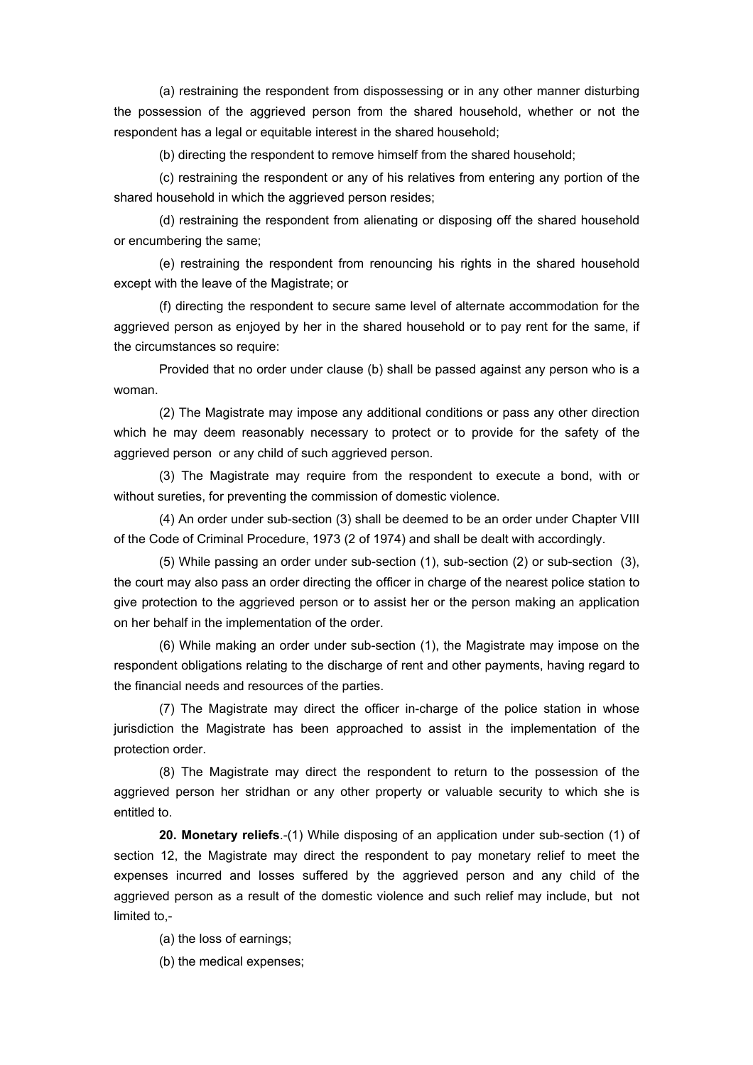(a) restraining the respondent from dispossessing or in any other manner disturbing the possession of the aggrieved person from the shared household, whether or not the respondent has a legal or equitable interest in the shared household;

(b) directing the respondent to remove himself from the shared household;

(c) restraining the respondent or any of his relatives from entering any portion of the shared household in which the aggrieved person resides;

(d) restraining the respondent from alienating or disposing off the shared household or encumbering the same;

(e) restraining the respondent from renouncing his rights in the shared household except with the leave of the Magistrate; or

(f) directing the respondent to secure same level of alternate accommodation for the aggrieved person as enjoyed by her in the shared household or to pay rent for the same, if the circumstances so require:

Provided that no order under clause (b) shall be passed against any person who is a woman.

(2) The Magistrate may impose any additional conditions or pass any other direction which he may deem reasonably necessary to protect or to provide for the safety of the aggrieved person or any child of such aggrieved person.

(3) The Magistrate may require from the respondent to execute a bond, with or without sureties, for preventing the commission of domestic violence.

(4) An order under sub-section (3) shall be deemed to be an order under Chapter VIII of the Code of Criminal Procedure, 1973 (2 of 1974) and shall be dealt with accordingly.

(5) While passing an order under sub-section (1), sub-section (2) or sub-section (3), the court may also pass an order directing the officer in charge of the nearest police station to give protection to the aggrieved person or to assist her or the person making an application on her behalf in the implementation of the order.

(6) While making an order under sub-section (1), the Magistrate may impose on the respondent obligations relating to the discharge of rent and other payments, having regard to the financial needs and resources of the parties.

(7) The Magistrate may direct the officer in-charge of the police station in whose jurisdiction the Magistrate has been approached to assist in the implementation of the protection order.

(8) The Magistrate may direct the respondent to return to the possession of the aggrieved person her stridhan or any other property or valuable security to which she is entitled to.

**20. Monetary reliefs**.-(1) While disposing of an application under sub-section (1) of section 12, the Magistrate may direct the respondent to pay monetary relief to meet the expenses incurred and losses suffered by the aggrieved person and any child of the aggrieved person as a result of the domestic violence and such relief may include, but not limited to,-

(a) the loss of earnings;

(b) the medical expenses;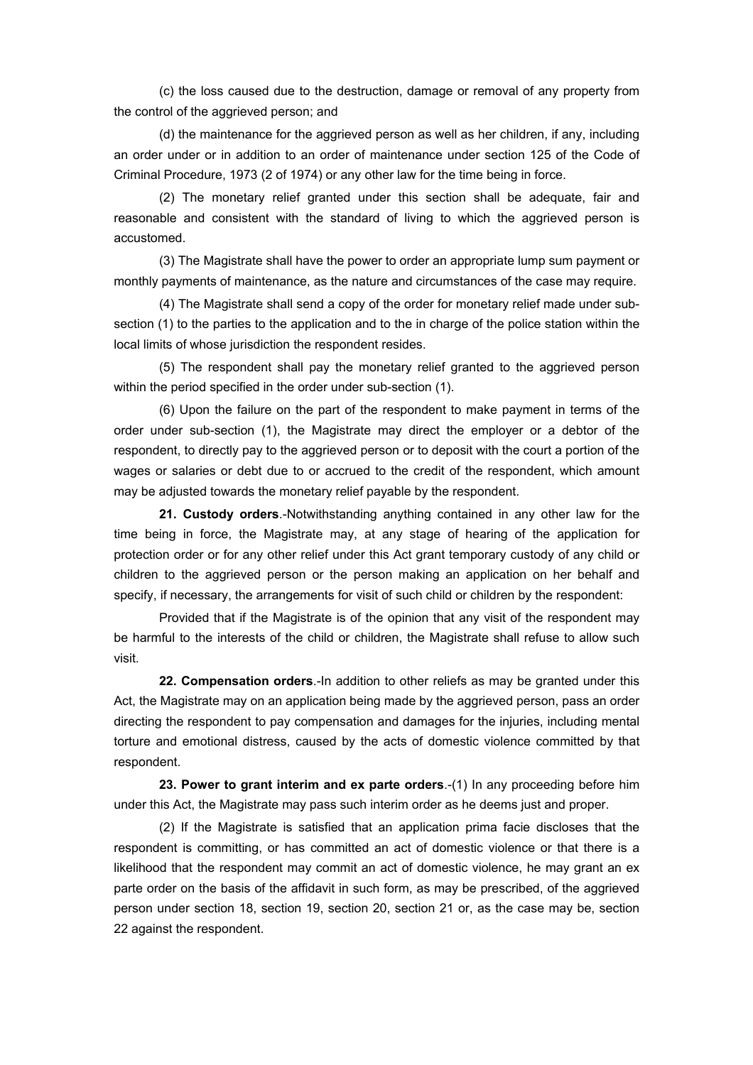(c) the loss caused due to the destruction, damage or removal of any property from the control of the aggrieved person; and

(d) the maintenance for the aggrieved person as well as her children, if any, including an order under or in addition to an order of maintenance under section 125 of the Code of Criminal Procedure, 1973 (2 of 1974) or any other law for the time being in force.

(2) The monetary relief granted under this section shall be adequate, fair and reasonable and consistent with the standard of living to which the aggrieved person is accustomed.

(3) The Magistrate shall have the power to order an appropriate lump sum payment or monthly payments of maintenance, as the nature and circumstances of the case may require.

(4) The Magistrate shall send a copy of the order for monetary relief made under subsection (1) to the parties to the application and to the in charge of the police station within the local limits of whose jurisdiction the respondent resides.

(5) The respondent shall pay the monetary relief granted to the aggrieved person within the period specified in the order under sub-section (1).

(6) Upon the failure on the part of the respondent to make payment in terms of the order under sub-section (1), the Magistrate may direct the employer or a debtor of the respondent, to directly pay to the aggrieved person or to deposit with the court a portion of the wages or salaries or debt due to or accrued to the credit of the respondent, which amount may be adjusted towards the monetary relief payable by the respondent.

**21. Custody orders**.-Notwithstanding anything contained in any other law for the time being in force, the Magistrate may, at any stage of hearing of the application for protection order or for any other relief under this Act grant temporary custody of any child or children to the aggrieved person or the person making an application on her behalf and specify, if necessary, the arrangements for visit of such child or children by the respondent:

Provided that if the Magistrate is of the opinion that any visit of the respondent may be harmful to the interests of the child or children, the Magistrate shall refuse to allow such visit.

**22. Compensation orders**.-In addition to other reliefs as may be granted under this Act, the Magistrate may on an application being made by the aggrieved person, pass an order directing the respondent to pay compensation and damages for the injuries, including mental torture and emotional distress, caused by the acts of domestic violence committed by that respondent.

**23. Power to grant interim and ex parte orders**.-(1) In any proceeding before him under this Act, the Magistrate may pass such interim order as he deems just and proper.

(2) If the Magistrate is satisfied that an application prima facie discloses that the respondent is committing, or has committed an act of domestic violence or that there is a likelihood that the respondent may commit an act of domestic violence, he may grant an ex parte order on the basis of the affidavit in such form, as may be prescribed, of the aggrieved person under section 18, section 19, section 20, section 21 or, as the case may be, section 22 against the respondent.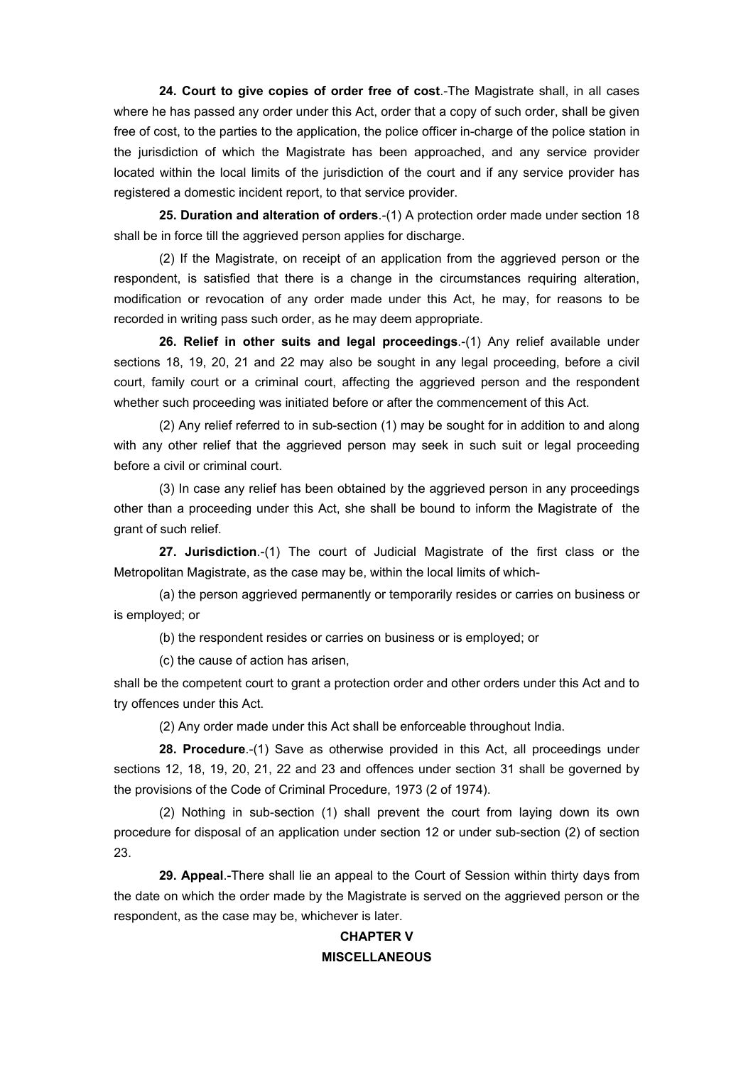**24. Court to give copies of order free of cost**.-The Magistrate shall, in all cases where he has passed any order under this Act, order that a copy of such order, shall be given free of cost, to the parties to the application, the police officer in-charge of the police station in the jurisdiction of which the Magistrate has been approached, and any service provider located within the local limits of the jurisdiction of the court and if any service provider has registered a domestic incident report, to that service provider.

**25. Duration and alteration of orders**.-(1) A protection order made under section 18 shall be in force till the aggrieved person applies for discharge.

(2) If the Magistrate, on receipt of an application from the aggrieved person or the respondent, is satisfied that there is a change in the circumstances requiring alteration, modification or revocation of any order made under this Act, he may, for reasons to be recorded in writing pass such order, as he may deem appropriate.

**26. Relief in other suits and legal proceedings**.-(1) Any relief available under sections 18, 19, 20, 21 and 22 may also be sought in any legal proceeding, before a civil court, family court or a criminal court, affecting the aggrieved person and the respondent whether such proceeding was initiated before or after the commencement of this Act.

(2) Any relief referred to in sub-section (1) may be sought for in addition to and along with any other relief that the aggrieved person may seek in such suit or legal proceeding before a civil or criminal court.

(3) In case any relief has been obtained by the aggrieved person in any proceedings other than a proceeding under this Act, she shall be bound to inform the Magistrate of the grant of such relief.

**27. Jurisdiction**.-(1) The court of Judicial Magistrate of the first class or the Metropolitan Magistrate, as the case may be, within the local limits of which-

(a) the person aggrieved permanently or temporarily resides or carries on business or is employed; or

(b) the respondent resides or carries on business or is employed; or

(c) the cause of action has arisen,

shall be the competent court to grant a protection order and other orders under this Act and to try offences under this Act.

(2) Any order made under this Act shall be enforceable throughout India.

**28. Procedure**.-(1) Save as otherwise provided in this Act, all proceedings under sections 12, 18, 19, 20, 21, 22 and 23 and offences under section 31 shall be governed by the provisions of the Code of Criminal Procedure, 1973 (2 of 1974).

(2) Nothing in sub-section (1) shall prevent the court from laying down its own procedure for disposal of an application under section 12 or under sub-section (2) of section 23.

**29. Appeal**.-There shall lie an appeal to the Court of Session within thirty days from the date on which the order made by the Magistrate is served on the aggrieved person or the respondent, as the case may be, whichever is later.

# **CHAPTER V MISCELLANEOUS**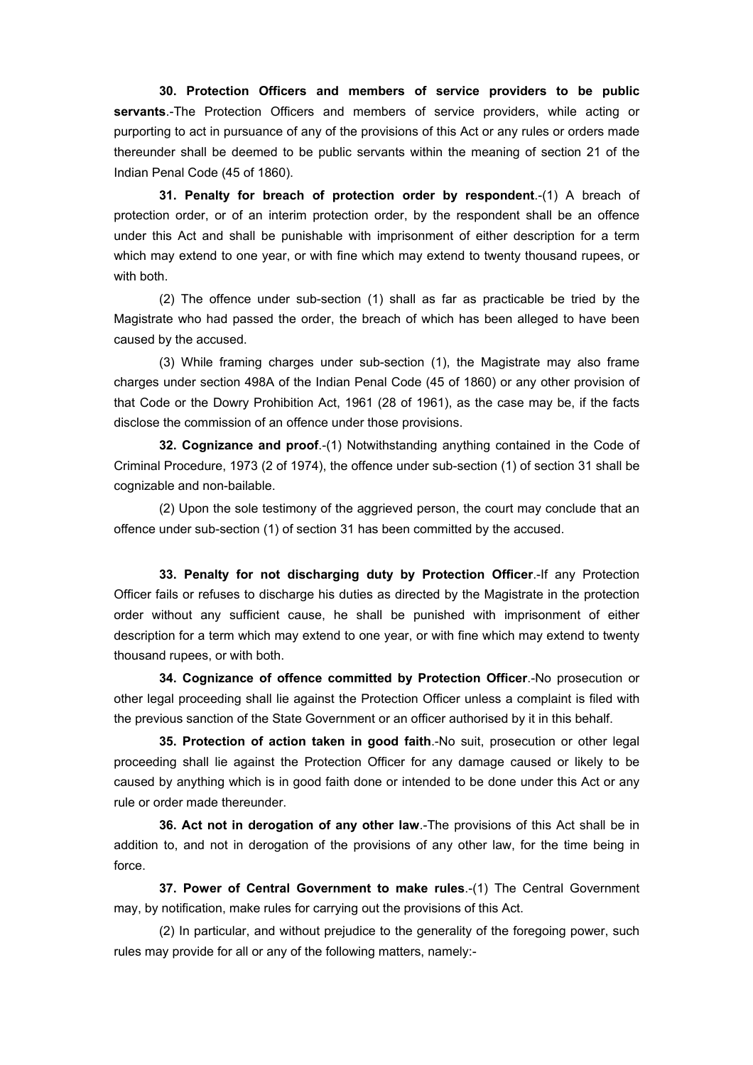**30. Protection Officers and members of service providers to be public servants**.-The Protection Officers and members of service providers, while acting or purporting to act in pursuance of any of the provisions of this Act or any rules or orders made thereunder shall be deemed to be public servants within the meaning of section 21 of the Indian Penal Code (45 of 1860).

**31. Penalty for breach of protection order by respondent**.-(1) A breach of protection order, or of an interim protection order, by the respondent shall be an offence under this Act and shall be punishable with imprisonment of either description for a term which may extend to one year, or with fine which may extend to twenty thousand rupees, or with both.

(2) The offence under sub-section (1) shall as far as practicable be tried by the Magistrate who had passed the order, the breach of which has been alleged to have been caused by the accused.

(3) While framing charges under sub-section (1), the Magistrate may also frame charges under section 498A of the Indian Penal Code (45 of 1860) or any other provision of that Code or the Dowry Prohibition Act, 1961 (28 of 1961), as the case may be, if the facts disclose the commission of an offence under those provisions.

**32. Cognizance and proof**.-(1) Notwithstanding anything contained in the Code of Criminal Procedure, 1973 (2 of 1974), the offence under sub-section (1) of section 31 shall be cognizable and non-bailable.

(2) Upon the sole testimony of the aggrieved person, the court may conclude that an offence under sub-section (1) of section 31 has been committed by the accused.

**33. Penalty for not discharging duty by Protection Officer**.-If any Protection Officer fails or refuses to discharge his duties as directed by the Magistrate in the protection order without any sufficient cause, he shall be punished with imprisonment of either description for a term which may extend to one year, or with fine which may extend to twenty thousand rupees, or with both.

**34. Cognizance of offence committed by Protection Officer**.-No prosecution or other legal proceeding shall lie against the Protection Officer unless a complaint is filed with the previous sanction of the State Government or an officer authorised by it in this behalf.

**35. Protection of action taken in good faith**.-No suit, prosecution or other legal proceeding shall lie against the Protection Officer for any damage caused or likely to be caused by anything which is in good faith done or intended to be done under this Act or any rule or order made thereunder.

**36. Act not in derogation of any other law**.-The provisions of this Act shall be in addition to, and not in derogation of the provisions of any other law, for the time being in force.

**37. Power of Central Government to make rules**.-(1) The Central Government may, by notification, make rules for carrying out the provisions of this Act.

(2) In particular, and without prejudice to the generality of the foregoing power, such rules may provide for all or any of the following matters, namely:-